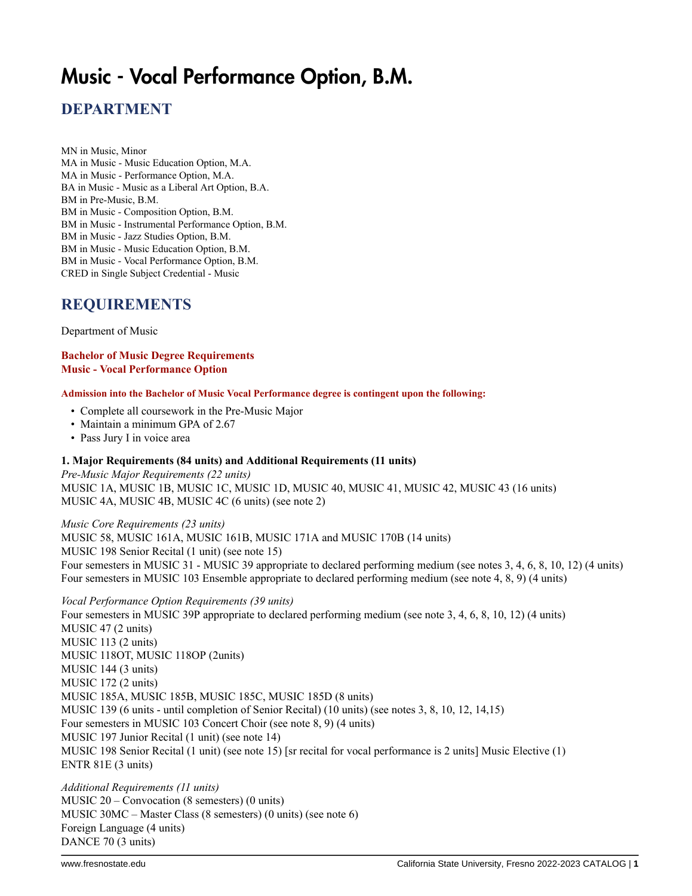# Music - Vocal Performance Option, B.M.

## **DEPARTMENT**

MN in Music, Minor MA in Music - Music Education Option, M.A. MA in Music - Performance Option, M.A. BA in Music - Music as a Liberal Art Option, B.A. BM in Pre-Music, B.M. BM in Music - Composition Option, B.M. BM in Music - Instrumental Performance Option, B.M. BM in Music - Jazz Studies Option, B.M. BM in Music - Music Education Option, B.M. BM in Music - Vocal Performance Option, B.M. CRED in Single Subject Credential - Music

## **REQUIREMENTS**

Department of Music

#### **Bachelor of Music Degree Requirements Music - Vocal Performance Option**

#### **Admission into the Bachelor of Music Vocal Performance degree is contingent upon the following:**

- Complete all coursework in the Pre-Music Major
- Maintain a minimum GPA of 2.67
- Pass Jury I in voice area

#### **1. Major Requirements (84 units) and Additional Requirements (11 units)**

*Pre-Music Major Requirements (22 units)* MUSIC 1A, MUSIC 1B, MUSIC 1C, MUSIC 1D, MUSIC 40, MUSIC 41, MUSIC 42, MUSIC 43 (16 units) MUSIC 4A, MUSIC 4B, MUSIC 4C (6 units) (see note 2)

*Music Core Requirements (23 units)* MUSIC 58, MUSIC 161A, MUSIC 161B, MUSIC 171A and MUSIC 170B (14 units) MUSIC 198 Senior Recital (1 unit) (see note 15) Four semesters in MUSIC 31 - MUSIC 39 appropriate to declared performing medium (see notes 3, 4, 6, 8, 10, 12) (4 units) Four semesters in MUSIC 103 Ensemble appropriate to declared performing medium (see note 4, 8, 9) (4 units)

*Vocal Performance Option Requirements (39 units)* Four semesters in MUSIC 39P appropriate to declared performing medium (see note 3, 4, 6, 8, 10, 12) (4 units) MUSIC 47 (2 units) MUSIC 113 (2 units) MUSIC 118OT, MUSIC 118OP (2units) MUSIC 144 (3 units) MUSIC 172 (2 units) MUSIC 185A, MUSIC 185B, MUSIC 185C, MUSIC 185D (8 units) MUSIC 139 (6 units - until completion of Senior Recital) (10 units) (see notes 3, 8, 10, 12, 14,15) Four semesters in MUSIC 103 Concert Choir (see note 8, 9) (4 units) MUSIC 197 Junior Recital (1 unit) (see note 14) MUSIC 198 Senior Recital (1 unit) (see note 15) [sr recital for vocal performance is 2 units] Music Elective (1) ENTR 81E (3 units)

*Additional Requirements (11 units)* MUSIC 20 – Convocation (8 semesters) (0 units) MUSIC 30MC – Master Class (8 semesters) (0 units) (see note 6) Foreign Language (4 units) DANCE 70 (3 units)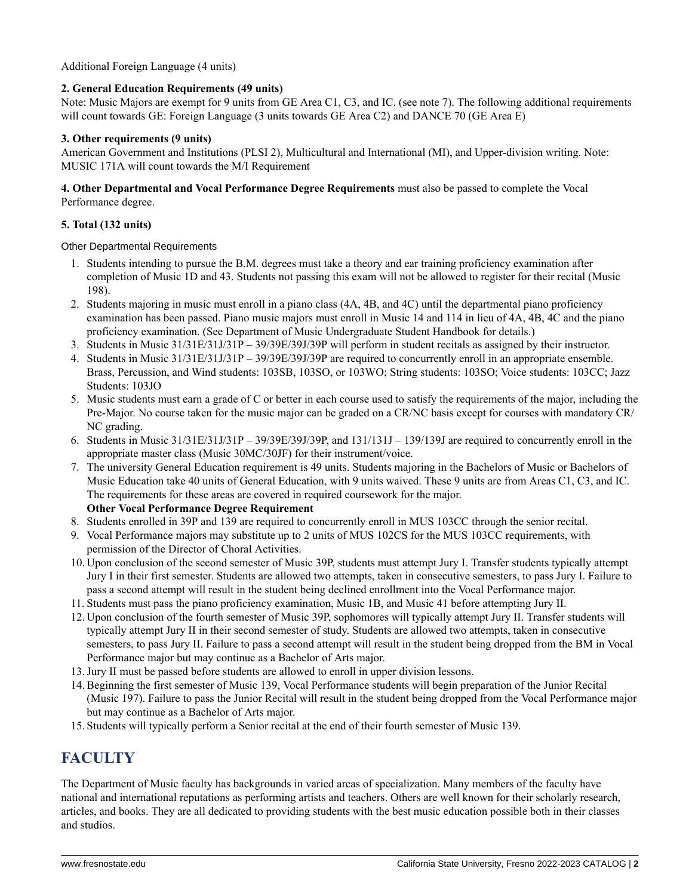### Additional Foreign Language (4 units)

### **2. General Education Requirements (49 units)**

Note: Music Majors are exempt for 9 units from GE Area C1, C3, and IC. (see note 7). The following additional requirements will count towards GE: Foreign Language (3 units towards GE Area C2) and DANCE 70 (GE Area E)

#### **3. Other requirements (9 units)**

American Government and Institutions (PLSI 2), Multicultural and International (MI), and Upper-division writing. Note: MUSIC 171A will count towards the M/I Requirement

#### **4. Other Departmental and Vocal Performance Degree Requirements** must also be passed to complete the Vocal Performance degree.

### **5. Total (132 units)**

Other Departmental Requirements

- 1. Students intending to pursue the B.M. degrees must take a theory and ear training proficiency examination after completion of Music 1D and 43. Students not passing this exam will not be allowed to register for their recital (Music 198).
- 2. Students majoring in music must enroll in a piano class (4A, 4B, and 4C) until the departmental piano proficiency examination has been passed. Piano music majors must enroll in Music 14 and 114 in lieu of 4A, 4B, 4C and the piano proficiency examination. (See Department of Music Undergraduate Student Handbook for details.)
- 3. Students in Music 31/31E/31J/31P 39/39E/39J/39P will perform in student recitals as assigned by their instructor.
- 4. Students in Music 31/31E/31J/31P 39/39E/39J/39P are required to concurrently enroll in an appropriate ensemble. Brass, Percussion, and Wind students: 103SB, 103SO, or 103WO; String students: 103SO; Voice students: 103CC; Jazz Students: 103JO
- 5. Music students must earn a grade of C or better in each course used to satisfy the requirements of the major, including the Pre-Major. No course taken for the music major can be graded on a CR/NC basis except for courses with mandatory CR/ NC grading.
- 6. Students in Music  $31/31E/31J/31P 39/39E/39J/39P$ , and  $131/131J 139/139J$  are required to concurrently enroll in the appropriate master class (Music 30MC/30JF) for their instrument/voice.
- 7. The university General Education requirement is 49 units. Students majoring in the Bachelors of Music or Bachelors of Music Education take 40 units of General Education, with 9 units waived. These 9 units are from Areas C1, C3, and IC. The requirements for these areas are covered in required coursework for the major. **Other Vocal Performance Degree Requirement**
- 8. Students enrolled in 39P and 139 are required to concurrently enroll in MUS 103CC through the senior recital.
- 9. Vocal Performance majors may substitute up to 2 units of MUS 102CS for the MUS 103CC requirements, with permission of the Director of Choral Activities.
- 10. Upon conclusion of the second semester of Music 39P, students must attempt Jury I. Transfer students typically attempt Jury I in their first semester. Students are allowed two attempts, taken in consecutive semesters, to pass Jury I. Failure to pass a second attempt will result in the student being declined enrollment into the Vocal Performance major.
- 11.Students must pass the piano proficiency examination, Music 1B, and Music 41 before attempting Jury II.
- 12. Upon conclusion of the fourth semester of Music 39P, sophomores will typically attempt Jury II. Transfer students will typically attempt Jury II in their second semester of study. Students are allowed two attempts, taken in consecutive semesters, to pass Jury II. Failure to pass a second attempt will result in the student being dropped from the BM in Vocal Performance major but may continue as a Bachelor of Arts major.
- 13.Jury II must be passed before students are allowed to enroll in upper division lessons.
- 14. Beginning the first semester of Music 139, Vocal Performance students will begin preparation of the Junior Recital (Music 197). Failure to pass the Junior Recital will result in the student being dropped from the Vocal Performance major but may continue as a Bachelor of Arts major.
- 15.Students will typically perform a Senior recital at the end of their fourth semester of Music 139.

# **FACULTY**

The Department of Music faculty has backgrounds in varied areas of specialization. Many members of the faculty have national and international reputations as performing artists and teachers. Others are well known for their scholarly research, articles, and books. They are all dedicated to providing students with the best music education possible both in their classes and studios.